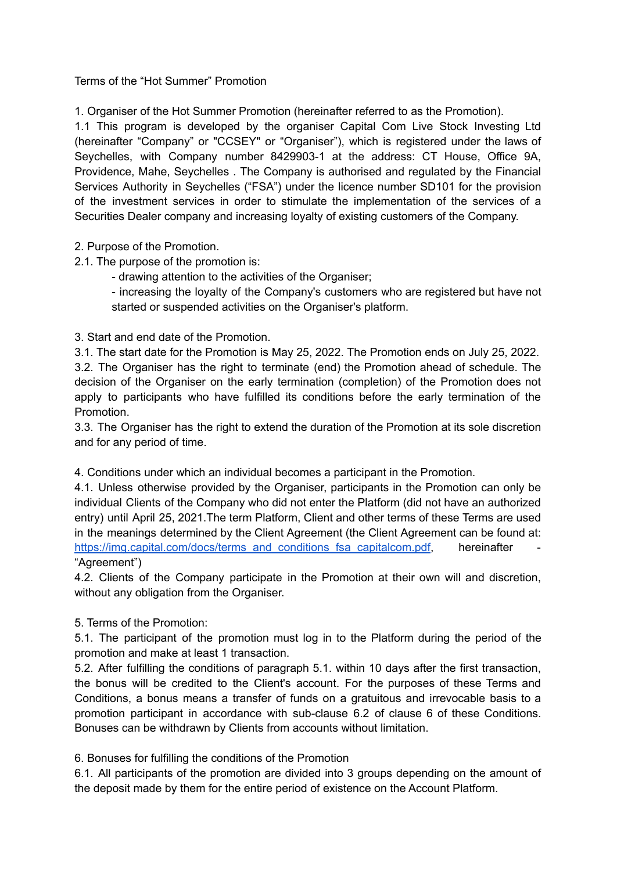Terms of the "Hot Summer" Promotion

1. Organiser of the Hot Summer Promotion (hereinafter referred to as the Promotion).

1.1 This program is developed by the organiser Capital Com Live Stock Investing Ltd (hereinafter "Company" or "CCSEY" or "Organiser"), which is registered under the laws of Seychelles, with Company number 8429903-1 at the address: CT House, Office 9A, Providence, Mahe, Seychelles . The Company is authorised and regulated by the Financial Services Authority in Seychelles ("FSA") under the licence number SD101 for the provision of the investment services in order to stimulate the implementation of the services of a Securities Dealer company and increasing loyalty of existing customers of the Company.

- 2. Purpose of the Promotion.
- 2.1. The purpose of the promotion is:
	- drawing attention to the activities of the Organiser;

- increasing the loyalty of the Company's customers who are registered but have not started or suspended activities on the Organiser's platform.

3. Start and end date of the Promotion.

3.1. The start date for the Promotion is May 25, 2022. The Promotion ends on July 25, 2022. 3.2. The Organiser has the right to terminate (end) the Promotion ahead of schedule. The decision of the Organiser on the early termination (completion) of the Promotion does not apply to participants who have fulfilled its conditions before the early termination of the Promotion.

3.3. The Organiser has the right to extend the duration of the Promotion at its sole discretion and for any period of time.

4. Conditions under which an individual becomes a participant in the Promotion.

4.1. Unless otherwise provided by the Organiser, participants in the Promotion can only be individual Clients of the Company who did not enter the Platform (did not have an authorized entry) until April 25, 2021.The term Platform, Client and other terms of these Terms are used in the meanings determined by the Client Agreement (the Client Agreement can be found at: [https://img.capital.com/docs/terms\\_and\\_conditions\\_fsa\\_capitalcom.pdf,](https://img.capital.com/docs/terms_and_conditions_fsa_capitalcom.pdf) hereinafter "Agreement")

4.2. Clients of the Company participate in the Promotion at their own will and discretion, without any obligation from the Organiser.

## 5. Terms of the Promotion:

5.1. The participant of the promotion must log in to the Platform during the period of the promotion and make at least 1 transaction.

5.2. After fulfilling the conditions of paragraph 5.1. within 10 days after the first transaction, the bonus will be credited to the Client's account. For the purposes of these Terms and Conditions, a bonus means a transfer of funds on a gratuitous and irrevocable basis to a promotion participant in accordance with sub-clause 6.2 of clause 6 of these Conditions. Bonuses can be withdrawn by Clients from accounts without limitation.

6. Bonuses for fulfilling the conditions of the Promotion

6.1. All participants of the promotion are divided into 3 groups depending on the amount of the deposit made by them for the entire period of existence on the Account Platform.